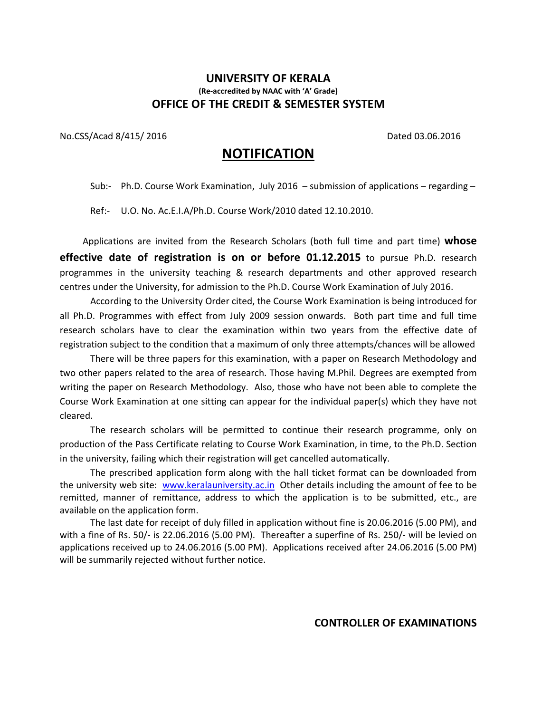### UNIVERSITY OF KERALA (Re-accredited by NAAC with 'A' Grade) OFFICE OF THE CREDIT & SEMESTER SYSTEM

No.CSS/Acad 8/415/ 2016 **Dated 03.06.2016** Dated 03.06.2016

# NOTIFICATION

Sub:- Ph.D. Course Work Examination, July 2016 – submission of applications – regarding –

Ref:- U.O. No. Ac.E.I.A/Ph.D. Course Work/2010 dated 12.10.2010.

Applications are invited from the Research Scholars (both full time and part time) whose effective date of registration is on or before 01.12.2015 to pursue Ph.D. research programmes in the university teaching & research departments and other approved research centres under the University, for admission to the Ph.D. Course Work Examination of July 2016.

According to the University Order cited, the Course Work Examination is being introduced for all Ph.D. Programmes with effect from July 2009 session onwards. Both part time and full time research scholars have to clear the examination within two years from the effective date of registration subject to the condition that a maximum of only three attempts/chances will be allowed

There will be three papers for this examination, with a paper on Research Methodology and two other papers related to the area of research. Those having M.Phil. Degrees are exempted from writing the paper on Research Methodology. Also, those who have not been able to complete the Course Work Examination at one sitting can appear for the individual paper(s) which they have not cleared.

The research scholars will be permitted to continue their research programme, only on production of the Pass Certificate relating to Course Work Examination, in time, to the Ph.D. Section in the university, failing which their registration will get cancelled automatically.

The prescribed application form along with the hall ticket format can be downloaded from the university web site: www.keralauniversity.ac.in Other details including the amount of fee to be remitted, manner of remittance, address to which the application is to be submitted, etc., are available on the application form.

The last date for receipt of duly filled in application without fine is 20.06.2016 (5.00 PM), and with a fine of Rs. 50/- is 22.06.2016 (5.00 PM). Thereafter a superfine of Rs. 250/- will be levied on applications received up to 24.06.2016 (5.00 PM). Applications received after 24.06.2016 (5.00 PM) will be summarily rejected without further notice.

### CONTROLLER OF EXAMINATIONS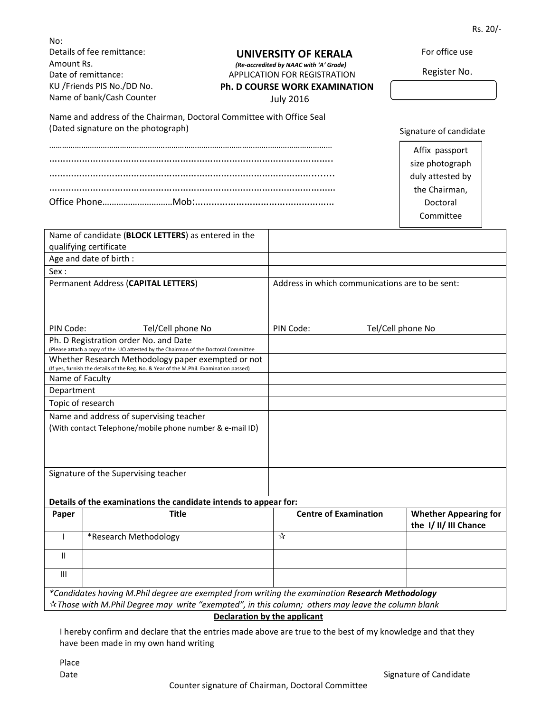Rs. 20/-

For office use

Register No.

Signature of candidate

Affix passport size photograph duly attested by the Chairman, Doctoral Committee

| No:                        |  |
|----------------------------|--|
| Details of fee remittance: |  |
| Amount Rs.                 |  |
| Date of remittance:        |  |
| KU /Friends PIS No./DD No. |  |
| Name of bank/Cash Counter  |  |

#### UNIVERSITY OF KERALA

 (Re-accredited by NAAC with 'A' Grade) APPLICATION FOR REGISTRATION

## Ph. D COURSE WORK EXAMINATION

July 2016

| Name and address of the Chairman, Doctoral Committee with Office Seal |
|-----------------------------------------------------------------------|
| (Dated signature on the photograph)                                   |
|                                                                       |

……………………………………………………………………………………………………………………

|                                                          | Name of candidate (BLOCK LETTERS) as entered in the                                                                                          |                                                 |                                                     |
|----------------------------------------------------------|----------------------------------------------------------------------------------------------------------------------------------------------|-------------------------------------------------|-----------------------------------------------------|
|                                                          | qualifying certificate                                                                                                                       |                                                 |                                                     |
|                                                          | Age and date of birth :                                                                                                                      |                                                 |                                                     |
| Sex:                                                     |                                                                                                                                              |                                                 |                                                     |
|                                                          | Permanent Address (CAPITAL LETTERS)                                                                                                          | Address in which communications are to be sent: |                                                     |
|                                                          |                                                                                                                                              |                                                 |                                                     |
| PIN Code:                                                | Tel/Cell phone No                                                                                                                            | PIN Code:                                       | Tel/Cell phone No                                   |
|                                                          | Ph. D Registration order No. and Date<br>(Please attach a copy of the UO attested by the Chairman of the Doctoral Committee                  |                                                 |                                                     |
|                                                          | Whether Research Methodology paper exempted or not<br>(If yes, furnish the details of the Reg. No. & Year of the M.Phil. Examination passed) |                                                 |                                                     |
| Name of Faculty                                          |                                                                                                                                              |                                                 |                                                     |
| Department                                               |                                                                                                                                              |                                                 |                                                     |
| Topic of research                                        |                                                                                                                                              |                                                 |                                                     |
| Name and address of supervising teacher                  |                                                                                                                                              |                                                 |                                                     |
| (With contact Telephone/mobile phone number & e-mail ID) |                                                                                                                                              |                                                 |                                                     |
|                                                          |                                                                                                                                              |                                                 |                                                     |
|                                                          |                                                                                                                                              |                                                 |                                                     |
|                                                          |                                                                                                                                              |                                                 |                                                     |
|                                                          | Signature of the Supervising teacher                                                                                                         |                                                 |                                                     |
|                                                          |                                                                                                                                              |                                                 |                                                     |
|                                                          | Details of the examinations the candidate intends to appear for:                                                                             |                                                 |                                                     |
| Paper                                                    | <b>Title</b>                                                                                                                                 | <b>Centre of Examination</b>                    | <b>Whether Appearing for</b><br>the I/II/III Chance |
| 1                                                        | *Research Methodology                                                                                                                        | ☆                                               |                                                     |
| $\mathbf{H}$                                             |                                                                                                                                              |                                                 |                                                     |
| $\mathbf{III}$                                           |                                                                                                                                              |                                                 |                                                     |

\*Candidates having M.Phil degree are exempted from writing the examination Research Methodology  $\dot{\mathbf{r}}$ Those with M.Phil Degree may write "exempted", in this column; others may leave the column blank

Declaration by the applicant

I hereby confirm and declare that the entries made above are true to the best of my knowledge and that they have been made in my own hand writing

Place

Date **Signature of Candidate** Signature of Candidate **Signature of Candidate**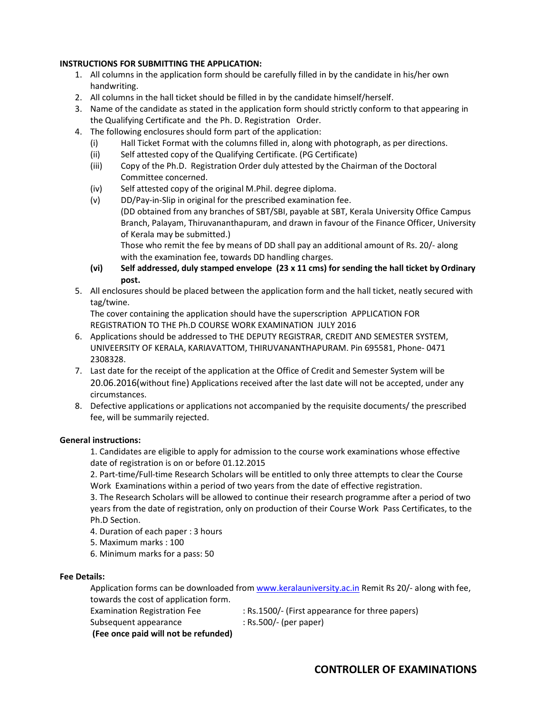#### INSTRUCTIONS FOR SUBMITTING THE APPLICATION:

- 1. All columns in the application form should be carefully filled in by the candidate in his/her own handwriting.
- 2. All columns in the hall ticket should be filled in by the candidate himself/herself.
- 3. Name of the candidate as stated in the application form should strictly conform to that appearing in the Qualifying Certificate and the Ph. D. Registration Order.
- 4. The following enclosures should form part of the application:
	- (i) Hall Ticket Format with the columns filled in, along with photograph, as per directions.
	- (ii) Self attested copy of the Qualifying Certificate. (PG Certificate)
	- (iii) Copy of the Ph.D. Registration Order duly attested by the Chairman of the Doctoral Committee concerned.
	- (iv) Self attested copy of the original M.Phil. degree diploma.
	- (v) DD/Pay-in-Slip in original for the prescribed examination fee. (DD obtained from any branches of SBT/SBI, payable at SBT, Kerala University Office Campus Branch, Palayam, Thiruvananthapuram, and drawn in favour of the Finance Officer, University of Kerala may be submitted.)

Those who remit the fee by means of DD shall pay an additional amount of Rs. 20/- along with the examination fee, towards DD handling charges.

- (vi) Self addressed, duly stamped envelope  $(23 \times 11 \text{ cms})$  for sending the hall ticket by Ordinary post.
- 5. All enclosures should be placed between the application form and the hall ticket, neatly secured with tag/twine.

The cover containing the application should have the superscription APPLICATION FOR REGISTRATION TO THE Ph.D COURSE WORK EXAMINATION JULY 2016

- 6. Applications should be addressed to THE DEPUTY REGISTRAR, CREDIT AND SEMESTER SYSTEM, UNIVEERSITY OF KERALA, KARIAVATTOM, THIRUVANANTHAPURAM. Pin 695581, Phone- 0471 2308328.
- 7. Last date for the receipt of the application at the Office of Credit and Semester System will be 20.06.2016(without fine) Applications received after the last date will not be accepted, under any circumstances.
- 8. Defective applications or applications not accompanied by the requisite documents/ the prescribed fee, will be summarily rejected.

#### General instructions:

1. Candidates are eligible to apply for admission to the course work examinations whose effective date of registration is on or before 01.12.2015

2. Part-time/Full-time Research Scholars will be entitled to only three attempts to clear the Course Work Examinations within a period of two years from the date of effective registration.

3. The Research Scholars will be allowed to continue their research programme after a period of two years from the date of registration, only on production of their Course Work Pass Certificates, to the Ph.D Section.

4. Duration of each paper : 3 hours

5. Maximum marks : 100

6. Minimum marks for a pass: 50

#### Fee Details:

Application forms can be downloaded from www.keralauniversity.ac.in Remit Rs 20/- along with fee, towards the cost of application form.

Examination Registration Fee : Rs.1500/- (First appearance for three papers) Subsequent appearance : Rs.500/- (per paper)

(Fee once paid will not be refunded)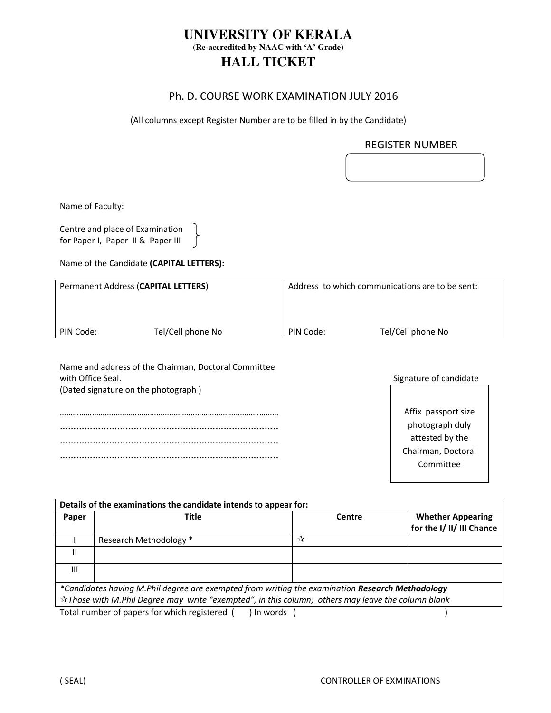## **UNIVERSITY OF KERALA (Re-accredited by NAAC with 'A' Grade) HALL TICKET**

### Ph. D. COURSE WORK EXAMINATION JULY 2016

(All columns except Register Number are to be filled in by the Candidate)

### REGISTER NUMBER

Centre and place of Examination for Paper I, Paper II & Paper III  $\bigcap$ 

Name of the Candidate (CAPITAL LETTERS):

| Permanent Address (CAPITAL LETTERS) |                   |           | Address to which communications are to be sent: |  |
|-------------------------------------|-------------------|-----------|-------------------------------------------------|--|
|                                     |                   |           |                                                 |  |
|                                     |                   |           |                                                 |  |
| PIN Code:                           | Tel/Cell phone No | PIN Code: | Tel/Cell phone No                               |  |

| Name and address of the Chairman, Doctoral Committee<br>with Office Seal. |  |  |
|---------------------------------------------------------------------------|--|--|
| (Dated signature on the photograph)                                       |  |  |
|                                                                           |  |  |
|                                                                           |  |  |
|                                                                           |  |  |
|                                                                           |  |  |
|                                                                           |  |  |
|                                                                           |  |  |

| Signature of candidate |  |
|------------------------|--|
|                        |  |
| Affix passport size    |  |
| photograph duly        |  |
| attested by the        |  |
| Chairman, Doctoral     |  |
| Committee              |  |
|                        |  |

| Details of the examinations the candidate intends to appear for: |                                                                                                                                                                                                             |        |                           |
|------------------------------------------------------------------|-------------------------------------------------------------------------------------------------------------------------------------------------------------------------------------------------------------|--------|---------------------------|
| Paper                                                            | <b>Title</b>                                                                                                                                                                                                | Centre | <b>Whether Appearing</b>  |
|                                                                  |                                                                                                                                                                                                             |        | for the I/ II/ III Chance |
|                                                                  | Research Methodology *                                                                                                                                                                                      | ☆      |                           |
| Ш                                                                |                                                                                                                                                                                                             |        |                           |
| Ш                                                                |                                                                                                                                                                                                             |        |                           |
|                                                                  | *Candidates having M.Phil degree are exempted from writing the examination Research Methodology<br>$\star$ Those with M.Phil Degree may write "exempted", in this column; others may leave the column blank |        |                           |
|                                                                  | Total number of papers for which registered (<br>⊧In words                                                                                                                                                  |        |                           |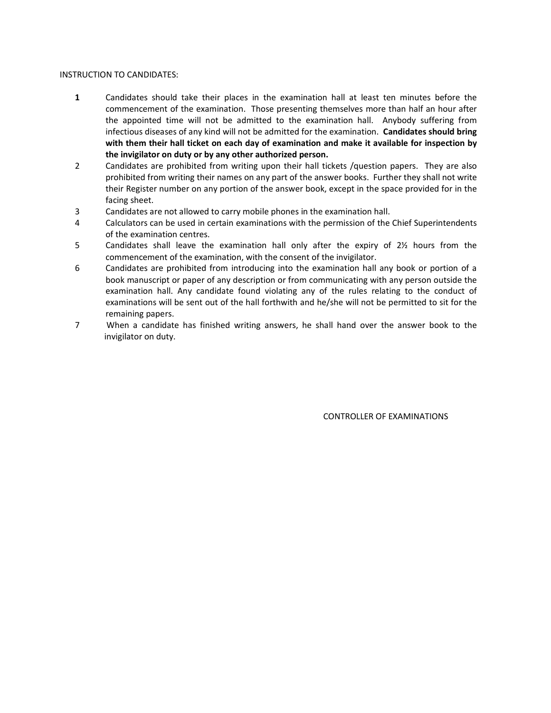#### INSTRUCTION TO CANDIDATES:

- 1 Candidates should take their places in the examination hall at least ten minutes before the commencement of the examination. Those presenting themselves more than half an hour after the appointed time will not be admitted to the examination hall. Anybody suffering from infectious diseases of any kind will not be admitted for the examination. Candidates should bring with them their hall ticket on each day of examination and make it available for inspection by the invigilator on duty or by any other authorized person.
- 2 Candidates are prohibited from writing upon their hall tickets /question papers. They are also prohibited from writing their names on any part of the answer books. Further they shall not write their Register number on any portion of the answer book, except in the space provided for in the facing sheet.
- 3 Candidates are not allowed to carry mobile phones in the examination hall.
- 4 Calculators can be used in certain examinations with the permission of the Chief Superintendents of the examination centres.
- 5 Candidates shall leave the examination hall only after the expiry of 2½ hours from the commencement of the examination, with the consent of the invigilator.
- 6 Candidates are prohibited from introducing into the examination hall any book or portion of a book manuscript or paper of any description or from communicating with any person outside the examination hall. Any candidate found violating any of the rules relating to the conduct of examinations will be sent out of the hall forthwith and he/she will not be permitted to sit for the remaining papers.
- 7 When a candidate has finished writing answers, he shall hand over the answer book to the invigilator on duty.

CONTROLLER OF EXAMINATIONS